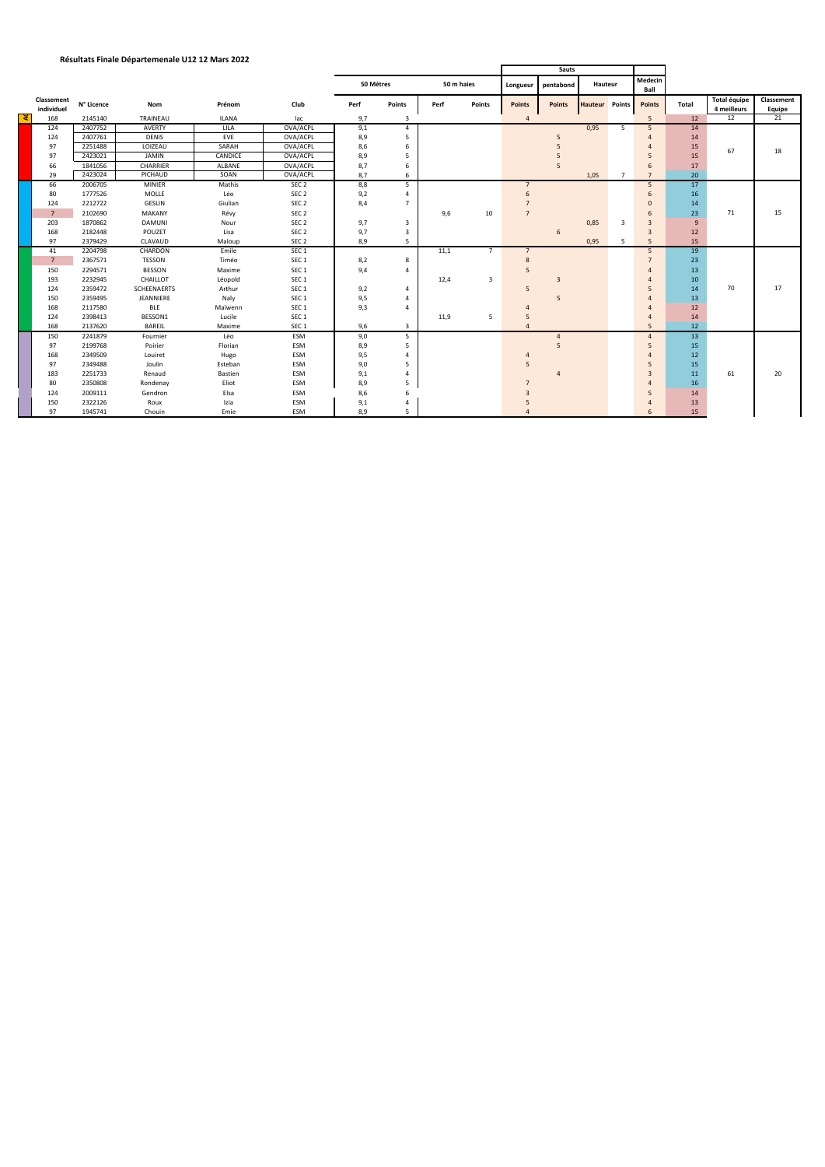## **Résultats Finale Départemenale U12 12 Mars 2022**

|    |                          |            |               |                |                  |           |                |            |                | <b>Sauts</b>   |                    |                       |                |                 |       |                             |                      |
|----|--------------------------|------------|---------------|----------------|------------------|-----------|----------------|------------|----------------|----------------|--------------------|-----------------------|----------------|-----------------|-------|-----------------------------|----------------------|
|    |                          |            |               |                |                  | 50 Métres |                | 50 m haies |                |                | Longueur pentabond | Hauteur               |                | Medecin<br>Ball |       |                             |                      |
|    | Classement<br>individuel | N° Licence | Nom           | Prénom         | Club             | Perf      | Points         | Perf       | Points         | <b>Points</b>  | <b>Points</b>      | <b>Hauteur</b> Points |                | <b>Points</b>   | Total | Total équipe<br>4 meilleurs | Classement<br>Equipe |
| ্ব | 168                      | 2145140    | TRAINEAU      | <b>ILANA</b>   | lac              | 9,7       | 3              |            |                | $\overline{a}$ |                    |                       |                | 5               | 12    | 12                          | $\overline{21}$      |
|    | 124                      | 2407752    | AVERTY        | LILA           | OVA/ACPL         | 9,1       | $\overline{4}$ |            |                |                |                    | 0,95                  | 5              | 5               | 14    |                             |                      |
|    | 124                      | 2407761    | <b>DENIS</b>  | EVE            | OVA/ACPL         | 8,9       | 5              |            |                |                | 5                  |                       |                | 4               | 14    |                             |                      |
|    | 97                       | 2251488    | LOIZEAU       | SARAH          | OVA/ACPL         | 8,6       | 6              |            |                |                |                    |                       |                |                 | 15    | 67                          | 18                   |
|    | 97                       | 2423021    | <b>JAMIN</b>  | CANDICE        | OVA/ACPL         | 8,9       | 5              |            |                |                |                    |                       |                | 5               | 15    |                             |                      |
|    | 66                       | 1841056    | CHARRIER      | ALBANE         | OVA/ACPL         | 8,7       | 6              |            |                |                | 5                  |                       |                | 6               | 17    |                             |                      |
|    | 29                       | 2423024    | PICHAUD       | SOAN           | OVA/ACPL         | 8.7       | 6              |            |                |                |                    | 1,05                  | $\overline{7}$ | $\overline{7}$  | 20    |                             |                      |
|    | 66                       | 2006705    | <b>MINIER</b> | Mathis         | SEC <sub>2</sub> | 8,8       | 5 <sup>1</sup> |            |                | $\overline{7}$ |                    |                       |                | 5 <sup>5</sup>  | 17    |                             |                      |
|    | 80                       | 1777526    | <b>MOLLE</b>  | Léo            | SEC <sub>2</sub> | 9,2       | Δ              |            |                |                |                    |                       |                | 6               | 16    |                             |                      |
|    | 124                      | 2212722    | <b>GESLIN</b> | Giulian        | SEC <sub>2</sub> | 8,4       | 7              |            |                |                |                    |                       |                |                 | 14    |                             |                      |
|    | $\overline{7}$           | 2102690    | MAKANY        | Révy           | SEC <sub>2</sub> |           |                | 9,6        | 10             |                |                    |                       |                | 6               | 23    | 71                          | 15                   |
|    | 203                      | 1870862    | <b>DAMUNI</b> | Nour           | SEC <sub>2</sub> | 9,7       | 3              |            |                |                |                    | 0,85                  | 3              | 3               | 9     |                             |                      |
|    | 168                      | 2182448    | POUZET        | Lisa           | SEC <sub>2</sub> | 9,7       | 3              |            |                |                | 6                  |                       |                | $\overline{3}$  | 12    |                             |                      |
|    | 97                       | 2379429    | CLAVAUD       | Maloup         | SEC <sub>2</sub> | 8,9       | 5              |            |                |                |                    | 0,95                  | -5             | 5               | 15    |                             |                      |
|    | 41                       | 2204798    | CHARDON       | Emile          | SEC <sub>1</sub> |           |                | 11,1       | $\overline{7}$ | $\overline{7}$ |                    |                       |                | 5               | 19    |                             |                      |
|    | $\overline{7}$           | 2367571    | TESSON        | Timéo          | SEC <sub>1</sub> | 8,2       | 8              |            |                | 8              |                    |                       |                | $\overline{7}$  | 23    |                             |                      |
|    | 150                      | 2294571    | <b>BESSON</b> | Maxime         | SEC <sub>1</sub> | 9,4       | 4              |            |                |                |                    |                       |                |                 | 13    |                             |                      |
|    | 193                      | 2232945    | CHAILLOT      | Léopold        | SEC <sub>1</sub> |           |                | 12,4       | 3              |                | $\overline{3}$     |                       |                |                 | 10    |                             |                      |
|    | 124                      | 2359472    | SCHEENAERTS   | Arthur         | SEC <sub>1</sub> | 9,2       | 4              |            |                | 5              |                    |                       |                |                 | 14    | 70                          | 17                   |
|    | 150                      | 2359495    | JEANNIERE     | Naly           | SEC <sub>1</sub> | 9,5       |                |            |                |                | 5                  |                       |                |                 | 13    |                             |                      |
|    | 168                      | 2117580    | <b>BLE</b>    | Maïwenn        | SEC <sub>1</sub> | 9,3       |                |            |                |                |                    |                       |                |                 | 12    |                             |                      |
|    | 124                      | 2398413    | BESSON1       | Lucile         | SEC <sub>1</sub> |           |                | 11,9       | 5              | -5             |                    |                       |                | 4               | 14    |                             |                      |
|    | 168                      | 2137620    | BAREIL        | Maxime         | SEC <sub>1</sub> | 9,6       | $\overline{3}$ |            |                |                |                    |                       |                | 5               | 12    |                             |                      |
|    | 150                      | 2241879    | Fournier      | Léo            | ESM              | 9,0       | 5              |            |                |                | $\overline{4}$     |                       |                | $\overline{4}$  | 13    |                             |                      |
|    | 97                       | 2199768    | Poirier       | Florian        | ESM              | 8,9       | 5              |            |                |                | 5                  |                       |                | 5               | 15    |                             |                      |
|    | 168                      | 2349509    | Louiret       | Hugo           | ESM              | 9,5       | $\overline{4}$ |            |                |                |                    |                       |                |                 | 12    |                             |                      |
|    | 97                       | 2349488    | Joulin        | Esteban        | ESM              | 9,0       | 5              |            |                | 5              |                    |                       |                |                 | 15    |                             |                      |
|    | 183                      | 2251733    | Renaud        | <b>Bastien</b> | ESM              | 9,1       |                |            |                |                | Δ                  |                       |                |                 | 11    | 61                          | 20                   |
|    | 80                       | 2350808    | Rondenay      | Eliot          | ESM              | 8,9       |                |            |                |                |                    |                       |                |                 | 16    |                             |                      |
|    | 124                      | 2009111    | Gendron       | Elsa           | ESM              | 8,6       |                |            |                |                |                    |                       |                |                 | 14    |                             |                      |
|    | 150                      | 2322126    | Roux          | Izia           | ESM              | 9,1       |                |            |                |                |                    |                       |                |                 | 13    |                             |                      |
|    | 97                       | 1945741    | Chouin        | Emie           | ESM              | 8,9       |                |            |                |                |                    |                       |                |                 | 15    |                             |                      |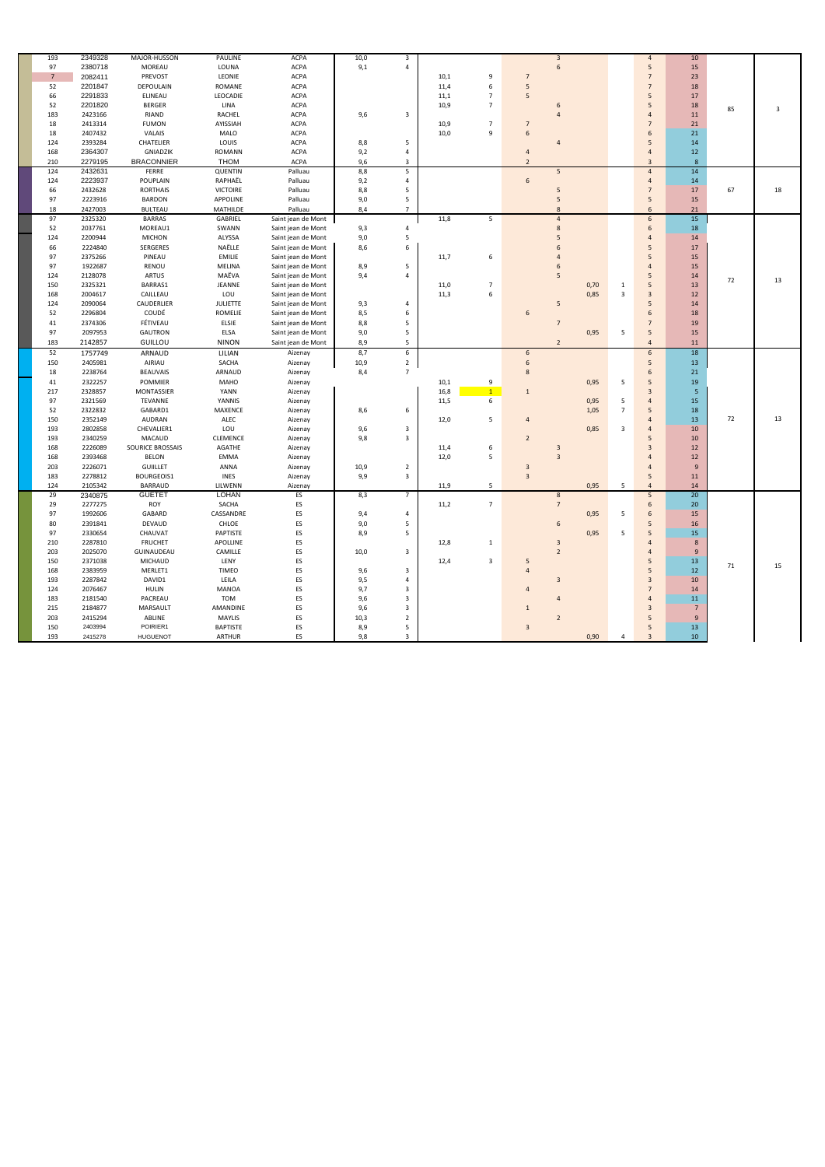| 193            | 2349328            | MAJOR-HUSSON        | PAULINE         | ACPA               | $10,0$     | $\overline{3}$               |      |                |                         | $\overline{3}$ |      |                | $\overline{4}$      | 10                    |    |    |
|----------------|--------------------|---------------------|-----------------|--------------------|------------|------------------------------|------|----------------|-------------------------|----------------|------|----------------|---------------------|-----------------------|----|----|
| 97             | 2380718            | MOREAU              | LOUNA           | <b>ACPA</b>        | 9,1        | 4                            |      |                |                         | 6              |      |                | 5                   | 15                    |    |    |
| 7 <sup>7</sup> | 2082411            | PREVOST             | LEONIE          | <b>ACPA</b>        |            |                              | 10,1 | 9              | $\overline{7}$          |                |      |                | $\overline{7}$      | 23                    |    |    |
| 52             | 2201847            | DEPOULAIN           | ROMANE          | <b>ACPA</b>        |            |                              | 11,4 | 6              | 5                       |                |      |                | $\overline{7}$      | 18                    |    |    |
| 66             | 2291833            | ELINEAU             | LEOCADIE        | <b>ACPA</b>        |            |                              | 11,1 | $\overline{7}$ | 5                       |                |      |                | 5                   | 17                    |    |    |
| 52             | 2201820            | <b>BERGER</b>       | LINA            | ACPA               |            |                              | 10,9 | $\overline{7}$ |                         | 6              |      |                | 5                   | 18                    |    |    |
| 183            | 2423166            | RIAND               | <b>RACHEL</b>   | <b>ACPA</b>        | 9,6        | 3                            |      |                |                         |                |      |                | $\overline{4}$      | 11                    | 85 | 3  |
| 18             | 2413314            | <b>FUMON</b>        | AYISSIAH        | ACPA               |            |                              | 10,9 | $\overline{7}$ | $\overline{7}$          |                |      |                | $\overline{7}$      | 21                    |    |    |
| 18             | 2407432            | <b>VALAIS</b>       | MALO            | ACPA               |            |                              | 10,0 | 9              | $\sqrt{6}$              |                |      |                | 6                   | 21                    |    |    |
| 124            | 2393284            | CHATELIER           | LOUIS           | <b>ACPA</b>        | 8,8        | 5                            |      |                |                         |                |      |                | 5                   | $14\,$                |    |    |
| 168            | 2364307            | GNIADZIK            | <b>ROMANN</b>   | ACPA               | 9,2        | 4                            |      |                | $\overline{4}$          |                |      |                | $\overline{4}$      | $12\,$                |    |    |
| 210            | 2279195            | <b>BRACONNIER</b>   | <b>THOM</b>     | <b>ACPA</b>        | 9,6        | $\mathbf{3}$                 |      |                | $\overline{2}$          |                |      |                | $\overline{3}$      | 8                     |    |    |
| 124            | 2432631            | FERRE               | <b>QUENTIN</b>  | Palluau            | 8,8        | 5                            |      |                |                         | 5              |      |                | $\overline{4}$      | 14                    |    |    |
| 124            | 2223937            | POUPLAIN            | RAPHAËL         | Palluau            | 9,2        | 4                            |      |                | $\,$ 6 $\,$             |                |      |                | $\overline{4}$      | 14                    |    |    |
| 66             | 2432628            | <b>RORTHAIS</b>     | <b>VICTOIRE</b> | Palluau            | 8,8        | 5                            |      |                |                         | 5              |      |                | $\overline{7}$      | 17                    | 67 | 18 |
| 97             | 2223916            | <b>BARDON</b>       | APPOLINE        | Palluau            | 9,0        | 5                            |      |                |                         | 5              |      |                | 5                   | 15                    |    |    |
| 18             | 2427003            | <b>BULTEAU</b>      | MATHILDE        | Palluau            | 8,4        | $\overline{7}$               |      |                |                         | 8              |      |                | 6                   | 21                    |    |    |
| 97             | 2325320            | <b>BARRAS</b>       | GABRIEL         | Saint jean de Mont |            |                              | 11,8 | 5              |                         | $\overline{4}$ |      |                | $6\overline{6}$     | $15\,$                |    |    |
| 52             | 2037761            | MOREAU1             | SWANN           | Saint jean de Mont | 9,3        | 4                            |      |                |                         | 8              |      |                | 6                   | 18                    |    |    |
| 124            | 2200944            | <b>MICHON</b>       | ALYSSA          | Saint jean de Mont | 9,0        | 5                            |      |                |                         |                |      |                | $\overline{4}$      | 14                    |    |    |
| 66             | 2224840            | SERGERES            | NAËLLE          | Saint jean de Mont | 8,6        | 6                            |      |                |                         |                |      |                | 5                   | 17                    |    |    |
| 97             | 2375266            | PINEAU              | <b>EMILIE</b>   | Saint jean de Mont |            |                              | 11,7 | 6              |                         |                |      |                | 5                   | 15                    |    |    |
| 97             | 1922687            | RENOU               | <b>MELINA</b>   | Saint jean de Mont | 8,9        | 5                            |      |                |                         |                |      |                | $\overline{4}$      | 15                    |    |    |
| 124            | 2128078            | <b>ARTUS</b>        | MAËVA           | Saint jean de Mont | 9,4        | 4                            |      |                |                         | 5              |      |                | 5                   | 14                    |    |    |
| 150            | 2325321            | BARRAS1             | JEANNE          | Saint jean de Mont |            |                              | 11,0 | $\overline{7}$ |                         |                | 0,70 | 1              | 5                   | 13                    | 72 | 13 |
| 168            | 2004617            | CAILLEAU            | LOU             | Saint jean de Mont |            |                              | 11,3 | 6              |                         |                | 0,85 | $\overline{3}$ | $\overline{3}$      | 12                    |    |    |
| 124            | 2090064            | CAUDERLIER          | <b>JULIETTE</b> | Saint jean de Mont | 9,3        | 4                            |      |                |                         | 5              |      |                | 5                   | 14                    |    |    |
| 52             | 2296804            | COUDÉ               | ROMELIE         | Saint jean de Mont | 8,5        | 6                            |      |                | 6                       |                |      |                | 6                   | 18                    |    |    |
| 41             | 2374306            | FÉTIVEAU            | ELSIE           | Saint jean de Mont | 8,8        | 5                            |      |                |                         | $\overline{7}$ |      |                | $\overline{7}$      | 19                    |    |    |
| 97             | 2097953            | <b>GAUTRON</b>      | ELSA            | Saint jean de Mont | 9,0        | 5                            |      |                |                         |                | 0,95 | 5              | 5                   | 15                    |    |    |
| 183            | 2142857            | GUILLOU             | <b>NINON</b>    | Saint jean de Mont | 8,9        | 5                            |      |                |                         | $\overline{2}$ |      |                | $\overline{4}$      |                       |    |    |
|                |                    |                     |                 |                    |            |                              |      |                |                         |                |      |                |                     |                       |    |    |
|                |                    |                     |                 |                    |            |                              |      |                |                         |                |      |                |                     | 11                    |    |    |
| 52             | 1757749            | ARNAUD              | LILIAN          | Aizenay            | 8,7        | 6                            |      |                | $\boldsymbol{6}$        |                |      |                | 6                   | 18                    |    |    |
| 150            | 2405981            | AIRIAU              | SACHA           | Aizenay            | 10,9       | $\overline{2}$               |      |                | 6                       |                |      |                | 5                   | 13                    |    |    |
| 18             | 2238764            | <b>BEAUVAIS</b>     | ARNAUD          | Aizenay            | 8,4        | $\overline{7}$               |      |                | 8                       |                |      |                | 6                   | 21                    |    |    |
| 41             | 2322257            | POMMIER             | <b>MAHO</b>     | Aizenay            |            |                              | 10,1 | 9              |                         |                | 0,95 | 5              | 5                   | 19                    |    |    |
| 217            | 2328857            | MONTASSIER          | <b>YANN</b>     | Aizenay            |            |                              | 16,8 | 1              | $1\,$                   |                |      |                | $\overline{3}$      | $\overline{5}$        |    |    |
| 97             | 2321569            | TEVANNE             | YANNIS          | Aizenay            |            |                              | 11,5 | 6              |                         |                | 0,95 | 5              | $\overline{4}$      | 15                    |    |    |
| 52             | 2322832            | GABARD1             | MAXENCE         | Aizenay            | 8,6        | 6                            |      |                |                         |                | 1,05 | $\overline{7}$ | 5                   | 18                    |    |    |
| 150            | 2352149            | AUDRAN              | ALEC            | Aizenay            |            |                              | 12,0 | 5              | $\overline{4}$          |                |      |                | $\overline{4}$      | 13                    | 72 | 13 |
| 193            | 2802858            | CHEVALIER1          | LOU             | Aizenay            | 9,6        | 3                            |      |                |                         |                | 0,85 | 3              | $\overline{4}$      | 10                    |    |    |
| 193            | 2340259            | MACAUD              | <b>CLEMENCE</b> | Aizenay            | 9,8        | 3                            |      |                | $\overline{2}$          |                |      |                | 5                   | 10                    |    |    |
| 168            | 2226089            | SOURICE BROSSAIS    | AGATHE          | Aizenay            |            |                              | 11,4 | 6              |                         | $\overline{3}$ |      |                | $\overline{3}$      | 12                    |    |    |
| 168            | 2393468            | <b>BELON</b>        | <b>EMMA</b>     | Aizenay            |            |                              | 12,0 | 5              |                         | $\overline{3}$ |      |                | $\overline{4}$      | 12                    |    |    |
| 203            | 2226071            | <b>GUIILLET</b>     | ANNA            | Aizenay            | 10,9       | $\overline{2}$               |      |                | $\overline{3}$          |                |      |                |                     | $9$                   |    |    |
| 183            | 2278812            | BOURGEOIS1          | <b>INES</b>     | Aizenay            | 9,9        | 3                            |      |                | $\overline{3}$          |                |      |                | 5                   | 11                    |    |    |
| 124            | 2105342            | BARRAUD             | LILWENN         | Aizenay            |            |                              | 11,9 | 5              |                         |                | 0,95 | 5              | $\overline{4}$      | 14                    |    |    |
| 29             | 2340875            | <b>GUETET</b>       | <b>LOHAN</b>    | ES                 | 8,3        | $\overline{7}$               |      |                |                         | 8              |      |                | 5                   | 20                    |    |    |
| 29             | 2277275            | ROY                 | SACHA           | ES                 |            |                              | 11,2 | $\overline{7}$ |                         | $\overline{7}$ |      |                | 6                   | $20\,$                |    |    |
| 97             | 1992606            | GABARD              | CASSANDRE       | ES                 | 9,4        | 4                            |      |                |                         |                | 0,95 | 5              | 6                   | 15                    |    |    |
| 80             | 2391841            | DEVAUD              | CHLOE           | ES                 | 9,0        | 5                            |      |                |                         | 6              |      |                | 5                   | 16                    |    |    |
| 97             | 2330654            | CHAUVAT             | PAPTISTE        | ES                 | 8,9        | 5                            |      |                |                         |                | 0,95 | -5             | 5                   | 15                    |    |    |
| 210            | 2287810            | <b>FRUCHET</b>      | APOLLINE        | ES                 |            |                              | 12,8 | 1              |                         | $\overline{3}$ |      |                | $\overline{4}$      | 8                     |    |    |
| 203            | 2025070            | GUINAUDEAU          | CAMILLE         | ES                 | 10,0       | $\mathbf{3}$                 |      |                |                         | $\overline{2}$ |      |                | $\overline{4}$      | 9                     |    |    |
| 150            | 2371038            | MICHAUD             | LENY            | ES                 |            |                              | 12,4 | 3              | 5                       |                |      |                | 5                   | 13                    | 71 | 15 |
| 168            | 2383959            | MERLET1             | <b>TIMEO</b>    | ES                 | 9,6        | 3<br>$\overline{4}$          |      |                | $\overline{4}$          |                |      |                | 5                   | 12                    |    |    |
| 193            | 2287842            | DAVID1              | LEILA           | ES                 | 9,5        | 3                            |      |                | $\overline{4}$          | $\overline{3}$ |      |                | 3<br>$\overline{7}$ | 10                    |    |    |
| 124            | 2076467            | <b>HULIN</b>        | MANOA           | ES                 | 9,7        |                              |      |                |                         | $\overline{4}$ |      |                | $\overline{4}$      | 14                    |    |    |
| 183<br>215     | 2181540<br>2184877 | PACREAU<br>MARSAULT | TOM<br>AMANDINE | ES                 | 9,6<br>9,6 | $\mathbf{3}$<br>$\mathbf{3}$ |      |                | $\mathbf{1}$            |                |      |                | 3                   | 11<br>$7\overline{ }$ |    |    |
| 203            | 2415294            | ABLINE              | MAYLIS          | ES<br>ES           | 10,3       | $\overline{2}$               |      |                |                         | $\overline{2}$ |      |                | 5                   | 9                     |    |    |
| 150            | 2403994            | POIRIER1            | <b>BAPTISTE</b> |                    |            | 5                            |      |                |                         |                |      |                | 5                   |                       |    |    |
| 193            | 2415278            | <b>HUGUENOT</b>     | ARTHUR          | ES<br>ES           | 8,9<br>9,8 | $\overline{3}$               |      |                | $\overline{\mathbf{3}}$ |                | 0,90 | 4              | $\overline{3}$      | 13<br>10              |    |    |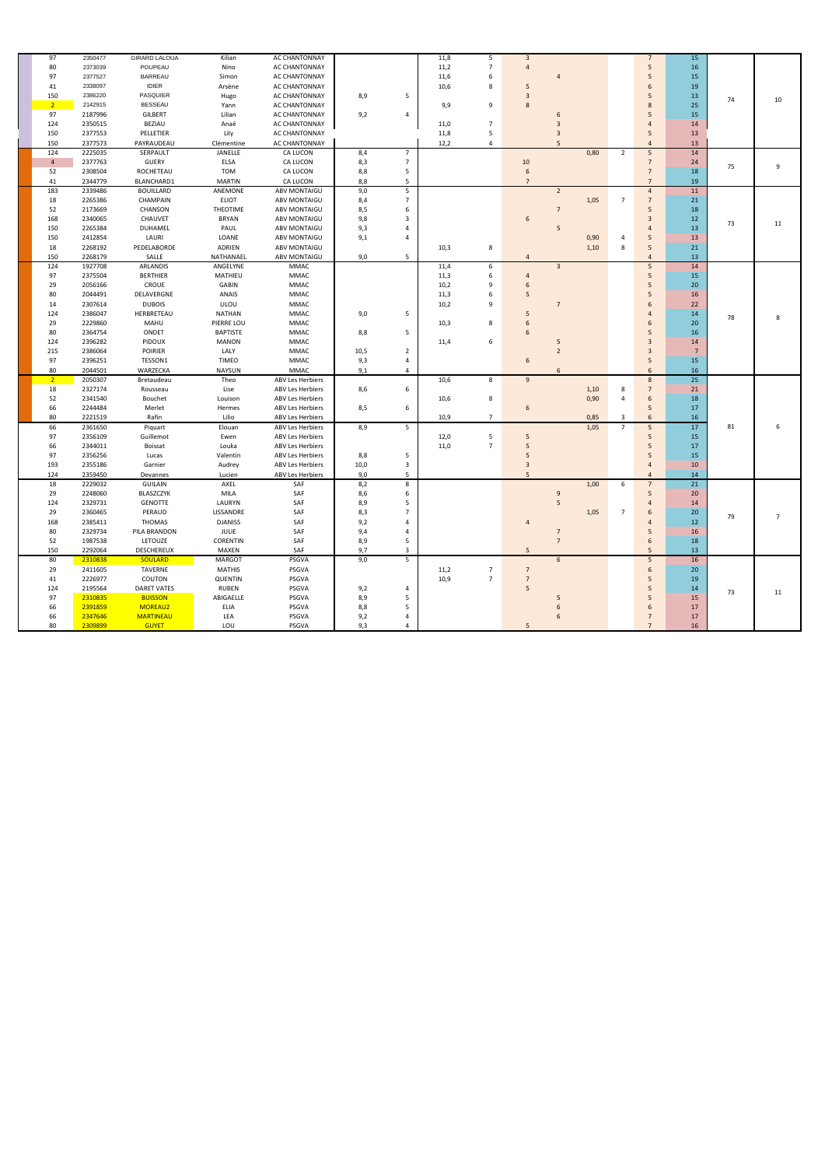| 97             | 2350477 | <b>GIRARD LALOUA</b> | Kilian          | AC CHANTONNAY           |      |                | 11,8 | 5              | $\overline{3}$  |                         |              |                | $\overline{7}$   | 15              |    |                |
|----------------|---------|----------------------|-----------------|-------------------------|------|----------------|------|----------------|-----------------|-------------------------|--------------|----------------|------------------|-----------------|----|----------------|
| 80             | 2373039 | POUPEAU              | Nino            | AC CHANTONNAY           |      |                | 11,2 | $\overline{7}$ | $\overline{4}$  |                         |              |                | 5                | 16              |    |                |
| 97             | 2377527 | BARREAU              | Simon           | AC CHANTONNAY           |      |                | 11,6 | 6              |                 | 4                       |              |                | 5                | 15              |    |                |
| 41             | 2338097 | <b>IDIER</b>         | Arsène          | AC CHANTONNAY           |      |                | 10,6 | 8              | 5               |                         |              |                | 6                | 19              |    |                |
| 150            | 2386220 | <b>PASQUIER</b>      | Hugo            | AC CHANTONNAY           | 8,9  | 5              |      |                | $\overline{3}$  |                         |              |                | 5                | 13              |    |                |
| 2 <sup>7</sup> | 2142915 | <b>BESSEAU</b>       | Yann            | AC CHANTONNAY           |      |                | 9,9  | 9              | $8\phantom{1}$  |                         |              |                | 8                | 25              | 74 | 10             |
| 97             | 2187996 |                      |                 |                         |      |                |      |                |                 |                         |              |                | 5                |                 |    |                |
|                |         | <b>GILBERT</b>       | Lilian          | AC CHANTONNAY           | 9,2  | 4              |      |                |                 | 6                       |              |                |                  | 15              |    |                |
| 124            | 2350515 | BEZIAU               | Anaë            | AC CHANTONNAY           |      |                | 11,0 | $\overline{7}$ |                 | 3                       |              |                | $\overline{4}$   | 14              |    |                |
| 150            | 2377553 | PELLETIER            | Lily            | AC CHANTONNAY           |      |                | 11,8 | 5              |                 | 3                       |              |                | 5                | 13              |    |                |
| 150            | 2377573 | PAYRAUDEAU           | Clémentine      | AC CHANTONNAY           |      |                | 12,2 | 4              |                 | 5                       |              |                | $\overline{4}$   | 13              |    |                |
| 124            | 2225035 | SERPAULT             | JANELLE         | CA LUCON                | 8,4  | $\overline{7}$ |      |                |                 |                         | 0,80         | $\overline{2}$ | $5\phantom{.0}$  | 14              |    |                |
| $\overline{4}$ | 2377763 | GUERY                | ELSA            | CA LUCON                | 8,3  | $\overline{7}$ |      |                | 10              |                         |              |                | $\overline{7}$   | 24              | 75 | 9              |
| 52             | 2308504 | ROCHETEAU            | <b>TOM</b>      | CA LUCON                | 8,8  | 5              |      |                | $\,6\,$         |                         |              |                | $\overline{7}$   | 18              |    |                |
| 41             | 2344779 | BLANCHARD1           | <b>MARTIN</b>   | CA LUCON                | 8,8  | 5              |      |                | $\overline{7}$  |                         |              |                | $\overline{7}$   | 19              |    |                |
| 183            | 2339486 | <b>BOUILLARD</b>     | ANEMONE         | ABV MONTAIGU            | 9,0  | 5              |      |                |                 | $\overline{2}$          |              |                | $\overline{4}$   | 11              |    |                |
| 18             | 2265386 | CHAMPAIN             | <b>ELIOT</b>    | ABV MONTAIGU            | 8,4  | $\overline{7}$ |      |                |                 |                         | 1,05         | $\overline{7}$ | $\overline{7}$   | 21              |    |                |
| 52             | 2173669 | CHANSON              | THEOTIME        | ABV MONTAIGU            | 8,5  | 6              |      |                |                 | $\overline{7}$          |              |                | 5                | 18              |    |                |
| 168            | 2340065 | CHAUVET              | <b>BRYAN</b>    | ABV MONTAIGU            | 9,8  | 3              |      |                | $6\phantom{1}$  |                         |              |                | 3                | 12              | 73 | 11             |
| 150            | 2265384 | DUHAMEL              | PAUL            | <b>ABV MONTAIGU</b>     | 9,3  | 4              |      |                |                 | 5                       |              |                | $\overline{4}$   | 13              |    |                |
| 150            | 2412854 | LAURI                | LOANE           | ABV MONTAIGU            | 9,1  | 4              |      |                |                 |                         | 0,90         | 4              | 5                | 13              |    |                |
| 18             | 2268192 | PEDELABORDE          | ADRIEN          | ABV MONTAIGU            |      |                | 10,3 | 8              |                 |                         | 1,10         | 8              | 5                | 21              |    |                |
| 150            | 2268179 | SALLE                | NATHANAEL       | ABV MONTAIGU            | 9,0  | 5              |      |                | $\overline{4}$  |                         |              |                | $\overline{4}$   | 13              |    |                |
| 124            | 1927708 | ARLANDIS             | ANGELYNE        | MMAC                    |      |                | 11,4 | 6              |                 | $\overline{\mathbf{3}}$ |              |                | $5\phantom{.0}$  | 14              |    |                |
| 97             | 2375504 | <b>BERTHIER</b>      | MATHIEU         | <b>MMAC</b>             |      |                | 11,3 | 6              | $\overline{4}$  |                         |              |                | $5\phantom{.0}$  | 15              |    |                |
| 29             | 2056166 | CROUE                | GABIN           | <b>MMAC</b>             |      |                | 10,2 | 9              | 6               |                         |              |                | 5                | 20              |    |                |
| 80             | 2044491 | DELAVERGNE           | ANAIS           | <b>MMAC</b>             |      |                | 11,3 | 6              | 5               |                         |              |                | 5                | 16              |    |                |
| 14             | 2307614 | <b>DUBOIS</b>        | LILOU           | MMAC                    |      |                | 10,2 | 9              |                 | $\overline{7}$          |              |                | 6                | 22              |    |                |
| 124            | 2386047 | HERBRETEAU           | <b>NATHAN</b>   | <b>MMAC</b>             | 9,0  | 5              |      |                | 5               |                         |              |                | $\overline{4}$   | 14              |    |                |
| 29             | 2229860 | MAHU                 | PIERRE LOU      | MMAC                    |      |                | 10,3 | 8              | 6               |                         |              |                | 6                | 20              | 78 | 8              |
| 80             | 2364754 | ONDET                | <b>BAPTISTE</b> | <b>MMAC</b>             | 8,8  | 5              |      |                | 6               |                         |              |                | 5                | 16              |    |                |
| 124            | 2396282 | PIDOUX               | <b>MANON</b>    | <b>MMAC</b>             |      |                | 11,4 | 6              |                 | 5                       |              |                | $\overline{3}$   | 14              |    |                |
| 215            | 2386064 | POIRIER              | LALY            | <b>MMAC</b>             | 10,5 | $\overline{2}$ |      |                |                 | $\overline{2}$          |              |                | $\overline{3}$   | $\overline{7}$  |    |                |
| 97             | 2396251 | TESSON1              | <b>TIMEO</b>    | <b>MMAC</b>             | 9,3  | 4              |      |                | $6\phantom{1}$  |                         |              |                | 5                | 15              |    |                |
| 80             | 2044501 | WARZECKA             | NAYSUN          | <b>MMAC</b>             | 9,1  | 4              |      |                |                 | 6                       |              |                | 6                | 16              |    |                |
| $\overline{2}$ | 2050307 | Bretaudeau           | Theo            | <b>ABV Les Herbiers</b> |      |                | 10,6 | 8              | $9\,$           |                         |              |                | 8                | $\overline{25}$ |    |                |
|                | 2327174 |                      |                 |                         |      |                |      |                |                 |                         |              |                | $\overline{7}$   |                 |    |                |
| 18             |         | Rousseau             | Lise            | <b>ABV Les Herbiers</b> | 8,6  | 6              |      |                |                 |                         | 1,10<br>0,90 | 8<br>4         | 6                | 21              |    |                |
| 52             | 2341540 | Bouchet              | Louison         | ABV Les Herbiers        |      |                | 10,6 | 8              |                 |                         |              |                |                  | 18              |    |                |
| 66             | 2244484 | Merlet               | Hermes          | <b>ABV Les Herbiers</b> | 8,5  | 6              |      |                | $6\phantom{1}$  |                         |              |                | 5                | 17              |    |                |
| 80             | 2221519 | Rafin                | Lilio           | <b>ABV Les Herbiers</b> |      |                | 10,9 | $\overline{7}$ |                 |                         | 0,85         | 3              | 6                | 16              |    |                |
| 66             | 2361650 | Piquart              | Elouan          | ABV Les Herbiers        | 8,9  | 5              |      |                |                 |                         | 1,05         | $\overline{7}$ | $5\phantom{.0}$  | 17              | 81 | 6              |
| 97             | 2356109 | Guillemot            | Ewen            | ABV Les Herbiers        |      |                | 12,0 | 5              | 5               |                         |              |                | 5                | 15              |    |                |
| 66             | 2344011 | Boissat              | Louka           | <b>ABV Les Herbiers</b> |      |                | 11,0 | $\overline{7}$ | 5               |                         |              |                | 5                | 17              |    |                |
| 97             | 2356256 | Lucas                | Valentin        | <b>ABV Les Herbiers</b> | 8,8  | 5              |      |                | 5               |                         |              |                | 5                | 15              |    |                |
| 193            | 2355186 | Garnier              | Audrey          | <b>ABV Les Herbiers</b> | 10,0 | 3              |      |                | 3               |                         |              |                | $\overline{4}$   | 10              |    |                |
| 124            | 2359450 | Devannes             | Lucien          | <b>ABV Les Herbiers</b> | 9,0  | 5              |      |                |                 |                         |              |                | $\overline{4}$   | 14              |    |                |
| 18             | 2229032 | <b>GUILAIN</b>       | AXEL            | SAF                     | 8,2  | 8              |      |                |                 |                         | 1,00         | 6              | $\overline{7}$   | 21              |    |                |
| 29             | 2248060 | BLASZCZYK            | MILA            | SAF                     | 8,6  | 6              |      |                |                 |                         |              |                |                  | 20              |    |                |
| 124            | 2329731 | <b>GENOTTE</b>       | LAURYN          | SAF                     | 8,9  | 5              |      |                |                 | 5                       |              |                | $\overline{4}$   | 14              |    |                |
| 29             | 2360465 | PERAUD               | LISSANDRE       | SAF                     | 8,3  | $\overline{7}$ |      |                |                 |                         | 1,05         | $\overline{7}$ | 6                | 20              | 79 | $\overline{7}$ |
| 168            | 2385411 | THOMAS               | <b>DJANISS</b>  | SAF                     | 9,2  | $\overline{4}$ |      |                | $\overline{4}$  |                         |              |                | $\overline{4}$   | 12              |    |                |
| 80             | 2329734 | PILA BRANDON         | JULIE           | SAF                     | 9,4  | $\overline{4}$ |      |                |                 | $\overline{7}$          |              |                | 5                | 16              |    |                |
| 52             | 1987538 | LETOUZE              | CORENTIN        | SAF                     | 8,9  | 5              |      |                |                 | $\overline{7}$          |              |                | $\boldsymbol{6}$ | 18              |    |                |
| 150            | 2292064 | DESCHEREUX           | MAXEN           | SAF                     | 9,7  | 3              |      |                | $5\overline{)}$ |                         |              |                | 5                | 13              |    |                |
| 80             | 2310838 | SOULARD              | MARGOT          | PSGVA                   | 9,0  | 5              |      |                |                 | $6\overline{6}$         |              |                | $5\phantom{.0}$  | 16              |    |                |
| 29             | 2411605 | TAVERNE              | <b>MATHIS</b>   | PSGVA                   |      |                | 11,2 | $\overline{7}$ | $\overline{7}$  |                         |              |                | 6                | 20 <sup>°</sup> |    |                |
| 41             | 2226977 | COUTON               | QUENTIN         | PSGVA                   |      |                | 10,9 | $\overline{7}$ | $\overline{7}$  |                         |              |                | $5\phantom{.0}$  | 19              |    |                |
| 124            | 2195564 | DARET VATES          | <b>RUBEN</b>    | PSGVA                   | 9,2  | 4              |      |                | $5\phantom{.0}$ |                         |              |                | 5                | 14              |    |                |
| 97             | 2310835 | <b>BUISSON</b>       | ABIGAELLE       | PSGVA                   | 8,9  | 5              |      |                |                 | 5                       |              |                | $5\phantom{.0}$  | 15              | 73 | 11             |
| 66             | 2391859 | MOREAU2              | ELIA            | PSGVA                   | 8,8  | 5              |      |                |                 | 6                       |              |                | $6\phantom{1}6$  | 17              |    |                |
| 66             | 2347646 | <b>MARTINEAU</b>     | LEA             | PSGVA                   | 9,2  | 4              |      |                |                 | 6                       |              |                | $\overline{7}$   | 17              |    |                |
| 80             | 2309899 | <b>GUYET</b>         | LOU             |                         | 9,3  | 4              |      |                |                 |                         |              |                | $\overline{7}$   | 16              |    |                |
|                |         |                      |                 | PSGVA                   |      |                |      |                | 5               |                         |              |                |                  |                 |    |                |